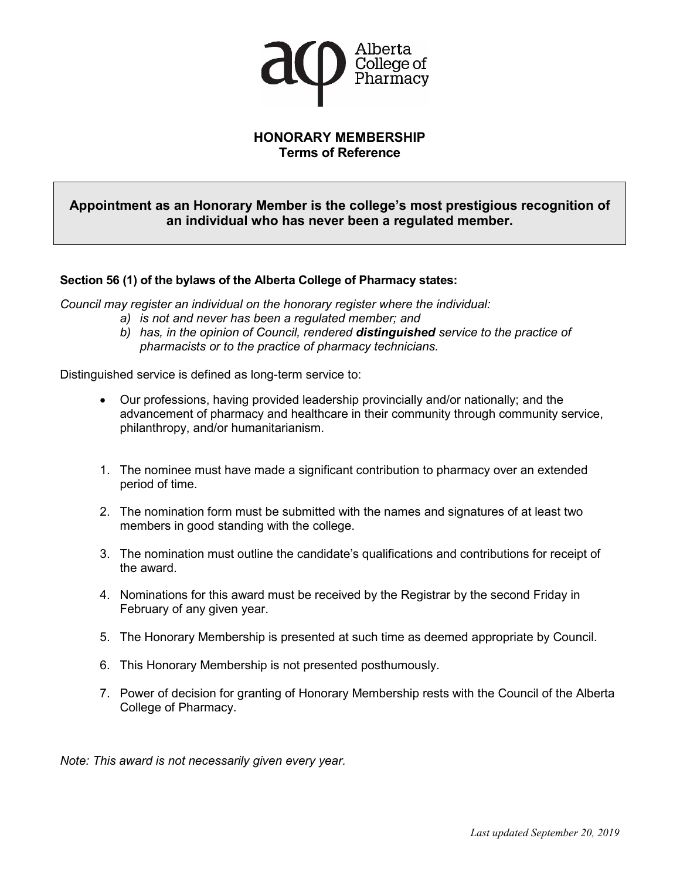

### **HONORARY MEMBERSHIP Terms of Reference**

## **Appointment as an Honorary Member is the college's most prestigious recognition of an individual who has never been a regulated member.**

#### **Section 56 (1) of the bylaws of the Alberta College of Pharmacy states:**

*Council may register an individual on the honorary register where the individual:*

- *a) is not and never has been a regulated member; and*
- *b) has, in the opinion of Council, rendered distinguished service to the practice of pharmacists or to the practice of pharmacy technicians.*

Distinguished service is defined as long-term service to:

- Our professions, having provided leadership provincially and/or nationally; and the advancement of pharmacy and healthcare in their community through community service, philanthropy, and/or humanitarianism.
- 1. The nominee must have made a significant contribution to pharmacy over an extended period of time.
- 2. The nomination form must be submitted with the names and signatures of at least two members in good standing with the college.
- 3. The nomination must outline the candidate's qualifications and contributions for receipt of the award.
- 4. Nominations for this award must be received by the Registrar by the second Friday in February of any given year.
- 5. The Honorary Membership is presented at such time as deemed appropriate by Council.
- 6. This Honorary Membership is not presented posthumously.
- 7. Power of decision for granting of Honorary Membership rests with the Council of the Alberta College of Pharmacy.

*Note: This award is not necessarily given every year.*